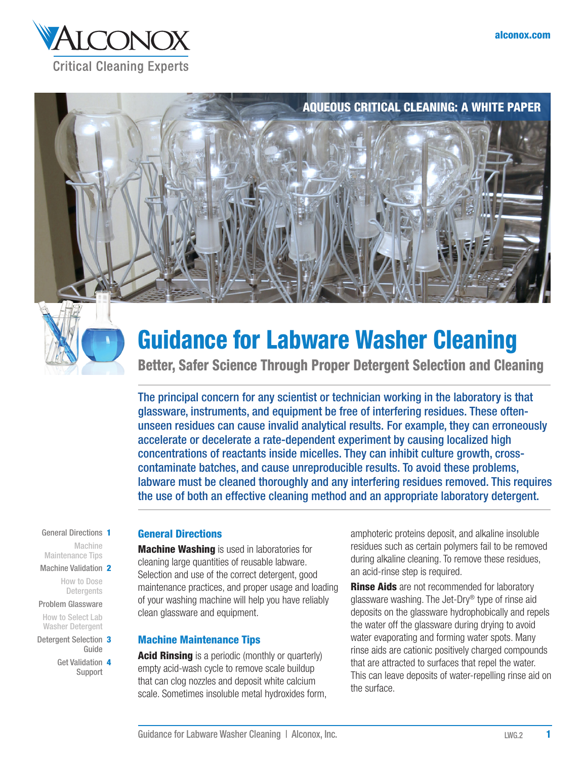





# Guidance for Labware Washer Cleaning

Better, Safer Science Through Proper Detergent Selection and Cleaning

The principal concern for any scientist or technician working in the laboratory is that glassware, instruments, and equipment be free of interfering residues. These oftenunseen residues can cause invalid analytical results. For example, they can erroneously accelerate or decelerate a rate-dependent experiment by causing localized high concentrations of reactants inside micelles. They can inhibit culture growth, crosscontaminate batches, and cause unreproducible results. To avoid these problems, labware must be cleaned thoroughly and any interfering residues removed. This requires the use of both an effective cleaning method and an appropriate laboratory detergent.

#### General Directions 1 Machine

Maintenance Tips [Machine Validation](#page-1-0) 2

How to Dose **Detergents** 

Problem Glassware How to Select Lab Washer Detergent

- [Detergent Selection](#page-2-0) 3 Guide
	- [Get Validation](#page-3-0) 4 Support

# General Directions

**Machine Washing** is used in laboratories for cleaning large quantities of reusable labware. Selection and use of the correct detergent, good maintenance practices, and proper usage and loading of your washing machine will help you have reliably clean glassware and equipment.

# Machine Maintenance Tips

**Acid Rinsing** is a periodic (monthly or quarterly) empty acid-wash cycle to remove scale buildup that can clog nozzles and deposit white calcium scale. Sometimes insoluble metal hydroxides form, amphoteric proteins deposit, and alkaline insoluble residues such as certain polymers fail to be removed during alkaline cleaning. To remove these residues, an acid-rinse step is required.

**Rinse Aids** are not recommended for laboratory glassware washing. The Jet-Dry® type of rinse aid deposits on the glassware hydrophobically and repels the water off the glassware during drying to avoid water evaporating and forming water spots. Many rinse aids are cationic positively charged compounds that are attracted to surfaces that repel the water. This can leave deposits of water-repelling rinse aid on the surface.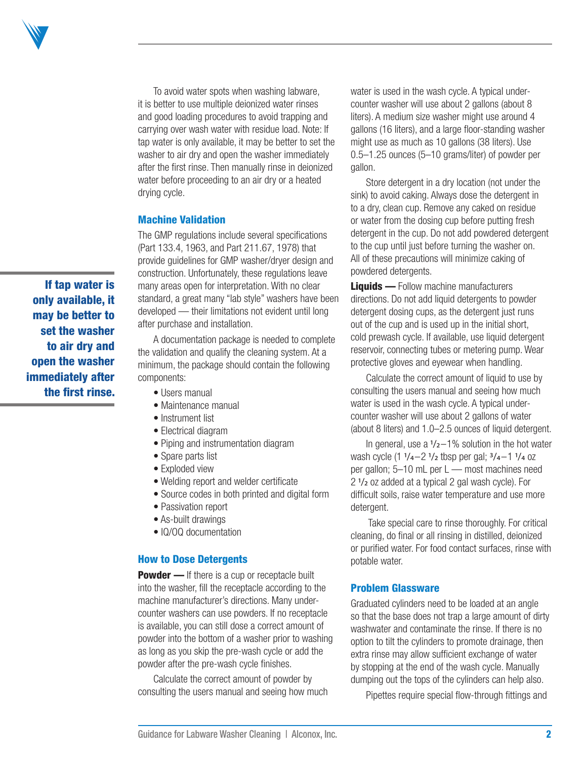<span id="page-1-0"></span>

To avoid water spots when washing labware, it is better to use multiple deionized water rinses and good loading procedures to avoid trapping and carrying over wash water with residue load. Note: If tap water is only available, it may be better to set the washer to air dry and open the washer immediately after the first rinse. Then manually rinse in deionized water before proceeding to an air dry or a heated drying cycle.

#### Machine Validation

The GMP regulations include several specifications (Part 133.4, 1963, and Part 211.67, 1978) that provide guidelines for GMP washer/dryer design and construction. Unfortunately, these regulations leave many areas open for interpretation. With no clear standard, a great many "lab style" washers have been developed — their limitations not evident until long after purchase and installation.

A documentation package is needed to complete the validation and qualify the cleaning system. At a minimum, the package should contain the following components:

- Users manual
- Maintenance manual
- Instrument list
- Electrical diagram
- Piping and instrumentation diagram
- Spare parts list
- Exploded view
- Welding report and welder certificate
- Source codes in both printed and digital form
- Passivation report
- As-built drawings
- IQ/OQ documentation

#### How to Dose Detergents

**Powder** — If there is a cup or receptacle built into the washer, fill the receptacle according to the machine manufacturer's directions. Many undercounter washers can use powders. If no receptacle is available, you can still dose a correct amount of powder into the bottom of a washer prior to washing as long as you skip the pre-wash cycle or add the powder after the pre-wash cycle finishes.

Calculate the correct amount of powder by consulting the users manual and seeing how much water is used in the wash cycle. A typical undercounter washer will use about 2 gallons (about 8 liters). A medium size washer might use around 4 gallons (16 liters), and a large floor-standing washer might use as much as 10 gallons (38 liters). Use 0.5–1.25 ounces (5–10 grams/liter) of powder per gallon.

Store detergent in a dry location (not under the sink) to avoid caking. Always dose the detergent in to a dry, clean cup. Remove any caked on residue or water from the dosing cup before putting fresh detergent in the cup. Do not add powdered detergent to the cup until just before turning the washer on. All of these precautions will minimize caking of powdered detergents.

**Liquids —** Follow machine manufacturers directions. Do not add liquid detergents to powder detergent dosing cups, as the detergent just runs out of the cup and is used up in the initial short, cold prewash cycle. If available, use liquid detergent reservoir, connecting tubes or metering pump. Wear protective gloves and eyewear when handling.

Calculate the correct amount of liquid to use by consulting the users manual and seeing how much water is used in the wash cycle. A typical undercounter washer will use about 2 gallons of water (about 8 liters) and 1.0–2.5 ounces of liquid detergent.

In general, use a  $1/2-1$ % solution in the hot water wash cycle (1 1/4–2 1/2 tbsp per gal; 3/4–1 1/4 oz per gallon; 5–10 mL per L — most machines need 2 1/2 oz added at a typical 2 gal wash cycle). For difficult soils, raise water temperature and use more detergent.

Take special care to rinse thoroughly. For critical cleaning, do final or all rinsing in distilled, deionized or purified water. For food contact surfaces, rinse with potable water.

### Problem Glassware

Graduated cylinders need to be loaded at an angle so that the base does not trap a large amount of dirty washwater and contaminate the rinse. If there is no option to tilt the cylinders to promote drainage, then extra rinse may allow sufficient exchange of water by stopping at the end of the wash cycle. Manually dumping out the tops of the cylinders can help also.

Pipettes require special flow-through fittings and

only available, it may be better to set the washer to air dry and open the washer immediately after the first rinse.

If tap water is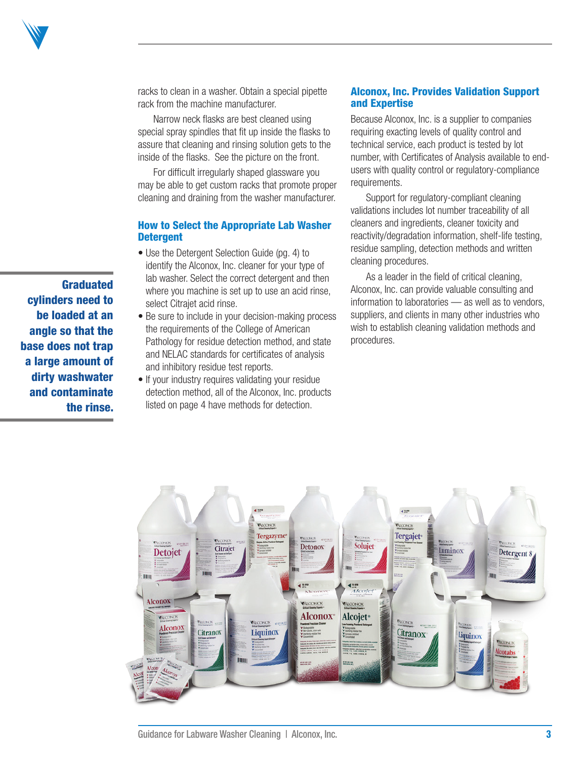<span id="page-2-0"></span>

racks to clean in a washer. Obtain a special pipette rack from the machine manufacturer.

Narrow neck flasks are best cleaned using special spray spindles that fit up inside the flasks to assure that cleaning and rinsing solution gets to the inside of the flasks. See the picture on the front.

For difficult irregularly shaped glassware you may be able to get custom racks that promote proper cleaning and draining from the washer manufacturer.

### How to Select the Appropriate Lab Washer **Detergent**

- Use the Detergent Selection Guide (pg. 4) to identify the Alconox, Inc. cleaner for your type of lab washer. Select the correct detergent and then where you machine is set up to use an acid rinse, select Citrajet acid rinse.
- Be sure to include in your decision-making process the requirements of the College of American Pathology for residue detection method, and state and NELAC standards for certificates of analysis and inhibitory residue test reports.
- If your industry requires validating your residue detection method, all of the Alconox, Inc. products listed on page 4 have methods for detection.

# Alconox, Inc. Provides Validation Support and Expertise

Because Alconox, Inc. is a supplier to companies requiring exacting levels of quality control and technical service, each product is tested by lot number, with Certificates of Analysis available to endusers with quality control or regulatory-compliance requirements.

Support for regulatory-compliant cleaning validations includes lot number traceability of all cleaners and ingredients, cleaner toxicity and reactivity/degradation information, shelf-life testing, residue sampling, detection methods and written cleaning procedures.

As a leader in the field of critical cleaning, Alconox, Inc. can provide valuable consulting and information to laboratories — as well as to vendors, suppliers, and clients in many other industries who wish to establish cleaning validation methods and procedures.



Graduated cylinders need to be loaded at an angle so that the base does not trap a large amount of dirty washwater and contaminate the rinse.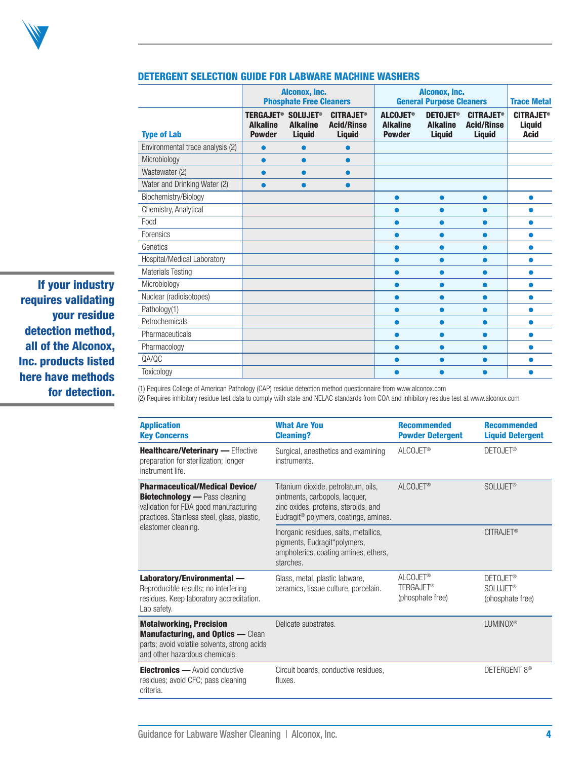<span id="page-3-0"></span>

|                                  |                                                                    | Alconox, Inc.<br><b>Phosphate Free Cleaners</b> |                                                        | Alconox, Inc.<br><b>General Purpose Cleaners</b>    |                                                                | <b>Trace Metal</b>                                     |                                                  |
|----------------------------------|--------------------------------------------------------------------|-------------------------------------------------|--------------------------------------------------------|-----------------------------------------------------|----------------------------------------------------------------|--------------------------------------------------------|--------------------------------------------------|
| <b>Type of Lab</b>               | TERGAJET <sup>®</sup> SOLUJET®<br><b>Alkaline</b><br><b>Powder</b> | <b>Alkaline</b><br><b>Liquid</b>                | <b>CITRAJET®</b><br><b>Acid/Rinse</b><br><b>Liquid</b> | <b>ALCOJET®</b><br><b>Alkaline</b><br><b>Powder</b> | <b>DETOJET<sup>®</sup></b><br><b>Alkaline</b><br><b>Liquid</b> | <b>CITRAJET®</b><br><b>Acid/Rinse</b><br><b>Liquid</b> | <b>CITRAJET®</b><br><b>Liquid</b><br><b>Acid</b> |
| Environmental trace analysis (2) | 0                                                                  |                                                 |                                                        |                                                     |                                                                |                                                        |                                                  |
| Microbiology                     | $\bullet$                                                          | ●                                               | o                                                      |                                                     |                                                                |                                                        |                                                  |
| Wastewater (2)                   | $\bullet$                                                          | ●                                               | ●                                                      |                                                     |                                                                |                                                        |                                                  |
| Water and Drinking Water (2)     | $\bullet$                                                          |                                                 |                                                        |                                                     |                                                                |                                                        |                                                  |
| Biochemistry/Biology             |                                                                    |                                                 |                                                        | $\bullet$                                           | $\bullet$                                                      | $\bullet$                                              | $\bullet$                                        |
| Chemistry, Analytical            |                                                                    |                                                 |                                                        |                                                     |                                                                |                                                        |                                                  |
| Food                             |                                                                    |                                                 |                                                        | ●                                                   | œ                                                              | ●                                                      |                                                  |
| Forensics                        |                                                                    |                                                 |                                                        | ●                                                   |                                                                | $\bullet$                                              |                                                  |
| Genetics                         |                                                                    |                                                 |                                                        |                                                     |                                                                |                                                        |                                                  |
| Hospital/Medical Laboratory      |                                                                    |                                                 |                                                        |                                                     |                                                                |                                                        |                                                  |
| <b>Materials Testing</b>         |                                                                    |                                                 |                                                        | ●                                                   |                                                                |                                                        |                                                  |
| Microbiology                     |                                                                    |                                                 |                                                        | $\bullet$                                           | ●                                                              |                                                        |                                                  |
| Nuclear (radioisotopes)          |                                                                    |                                                 |                                                        | $\bullet$                                           | ●                                                              |                                                        |                                                  |
| Pathology(1)                     |                                                                    |                                                 |                                                        | ●                                                   | œ                                                              | ●                                                      | o                                                |
| Petrochemicals                   |                                                                    |                                                 |                                                        |                                                     |                                                                |                                                        |                                                  |
| Pharmaceuticals                  |                                                                    |                                                 |                                                        |                                                     |                                                                |                                                        |                                                  |
| Pharmacology                     |                                                                    |                                                 |                                                        | ●                                                   |                                                                | ●                                                      |                                                  |
| QA/QC                            |                                                                    |                                                 |                                                        |                                                     |                                                                |                                                        |                                                  |
| Toxicology                       |                                                                    |                                                 |                                                        |                                                     |                                                                |                                                        |                                                  |

#### DETERGENT SELECTION GUIDE FOR LABWARE MACHINE WASHERS

If your industry requires validating your residue detection method, all of the Alconox, Inc. products listed here have methods for detection.

(1) Requires College of American Pathology (CAP) residue detection method questionnaire from www.alconox.com

(2) Requires inhibitory residue test data to comply with state and NELAC standards from COA and inhibitory residue test at www.alconox.com

| <b>Application</b><br><b>Key Concerns</b>                                                                                                                             | <b>What Are You</b><br><b>Cleaning?</b>                                                                                                                            | <b>Recommended</b><br><b>Powder Detergent</b>                     | <b>Recommended</b><br><b>Liquid Detergent</b>               |
|-----------------------------------------------------------------------------------------------------------------------------------------------------------------------|--------------------------------------------------------------------------------------------------------------------------------------------------------------------|-------------------------------------------------------------------|-------------------------------------------------------------|
| Healthcare/Veterinary - Effective<br>preparation for sterilization; longer<br>instrument life.                                                                        | Surgical, anesthetics and examining<br>instruments.                                                                                                                | ALCOJET <sup>®</sup>                                              | DETOJET <sup>®</sup>                                        |
| <b>Pharmaceutical/Medical Device/</b><br><b>Biotechnology</b> - Pass cleaning<br>validation for FDA good manufacturing<br>practices. Stainless steel, glass, plastic, | Titanium dioxide, petrolatum, oils,<br>ointments, carbopols, lacquer,<br>zinc oxides, proteins, steroids, and<br>Eudragit <sup>®</sup> polymers, coatings, amines. | ALCOJET <sup>®</sup>                                              | SOLUJET <sup>®</sup>                                        |
| elastomer cleaning.                                                                                                                                                   | Inorganic residues, salts, metallics,<br>pigments, Eudragit*polymers,<br>amphoterics, coating amines, ethers,<br>starches.                                         |                                                                   | CITRAJET <sup>®</sup>                                       |
| Laboratory/Environmental -<br>Reproducible results; no interfering<br>residues. Keep laboratory accreditation.<br>Lab safety.                                         | Glass, metal, plastic labware,<br>ceramics, tissue culture, porcelain.                                                                                             | ALCOJET <sup>®</sup><br>TERGAJET <sup>®</sup><br>(phosphate free) | DETOJET <sup>®</sup><br><b>SOLUJET®</b><br>(phosphate free) |
| <b>Metalworking, Precision</b><br><b>Manufacturing, and Optics - Clean</b><br>parts; avoid volatile solvents, strong acids<br>and other hazardous chemicals.          | Delicate substrates.                                                                                                                                               |                                                                   | LUMINOX <sup>®</sup>                                        |
| <b>Electronics</b> — Avoid conductive<br>residues; avoid CFC; pass cleaning<br>criteria.                                                                              | Circuit boards, conductive residues,<br>fluxes.                                                                                                                    |                                                                   | DETERGENT 8 <sup>®</sup>                                    |